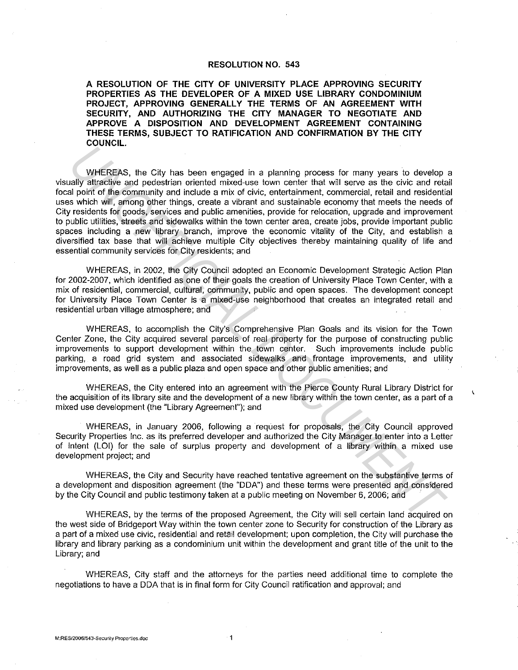## **RESOLUTION NO. 543**

**A RESOLUTION OF THE CITY OF UNIVERSITY PLACE APPROVING SECURITY PROPERTIES AS THE DEVELOPER OF A MIXED USE LIBRARY CONDOMINIUM PROJECT, APPROVING GENERALLY THE TERMS OF AN AGREEMENT WITH SECURITY, AND AUTHORIZING THE CITY MANAGER TO NEGOTIATE AND APPROVE A DISPOSITION AND DEVELOPMENT AGREEMENT CONTAINING THESE TERMS, SUBJECT TO RATIFICATION AND CONFIRMATION BY THE CITY COUNCIL.** 

WHEREAS, the City has been engaged in a planning process for many years to develop a visually attractive and pedestrian oriented mixed-use town center that will serve as the civic and retail focal point of the community and include a mix of civic, entertainment, commercial, retail and residential uses which will, among other things, create a vibrant and sustainable economy that meets the needs of City residents for goods, services and public amenities, provide for relocation, upgrade and improvement to public utilities, streets and sidewalks within the town center area, create jobs, provide important public spaces including a new library branch, improve the economic vitality of the City, and establish a diversified tax base that will achieve multiple City objectives thereby maintaining quality of life and essential community services for City residents; and WHEREAS, the City has been engaged in a planning process for many years to develop<br>ally attackies and pedestrian oriented mixed-use town center that will serve as the civic and related<br>aby attackies and pedestrian oriented

WHEREAS, in 2002, the City Council adopted an Economic Development Strategic Action Plan for 2002-2007, which identified as one of their goals the creation of University Place Town Center, with a mix of residential, commercial, cultural, community, public and open spaces. The development concept for University Place Town Center is a mixed-use neighborhood that creates an integrated retail and residential urban village atmosphere; and

WHEREAS, to accomplish the City's Comprehensive Plan Goals and its vision for the Town Center Zone, the City acquired several parcels of real property for the purpose of constructing public improvements to support development within the town center. Such improvements include public parking, a road grid system and associated sidewalks and frontage improvements, and utility improvements, as well as a public plaza and open space and other public amenities; and

WHEREAS, the City entered into an agreement with the Pierce County Rural Library District for the acquisition of its library site and the development of a new library within the town center, as a part of a mixed use development (the "Library Agreement"); and

Ċ

WHEREAS, in January 2006, following a request for proposals, the City Council approved Security Properties Inc. as its preferred developer and authorized the City Manager to enter into a Letter of Intent (LOI) for the sale of surplus property and development of a library within a mixed use development project; and

WHEREAS, the City and Security have reached tentative agreement on the substantive terms of a development and disposition agreement (the "ODA") and these terms were presented and considered by the City Council and public testimony taken at a public meeting on November 6, 2006; and

WHEREAS, by the terms of the proposed Agreement, the City will sell certain land acquired on the west side of Bridgeport Way within the town center zone to Security for construction of the Library as a part of a mixed use civic, residential and retail development; upon completion, the City will purchase the library and library parking as a condominium unit within the development and grant title of the unit to the Library; and

WHEREAS, City staff and the attorneys for the parties need additional time to complete the negotiations to have a ODA that is in final form for City Council ratification and approval; and